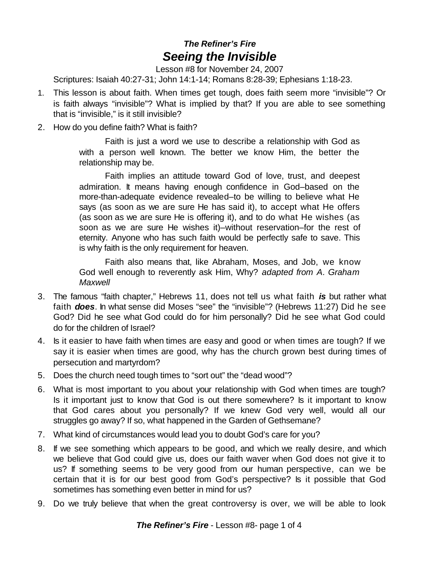## *The Refiner's Fire Seeing the Invisible*

Lesson #8 for November 24, 2007

Scriptures: Isaiah 40:27-31; John 14:1-14; Romans 8:28-39; Ephesians 1:18-23.

- 1. This lesson is about faith. When times get tough, does faith seem more "invisible"? Or is faith always "invisible"? What is implied by that? If you are able to see something that is "invisible," is it still invisible?
- 2. How do you define faith? What is faith?

Faith is just a word we use to describe a relationship with God as with a person well known. The better we know Him, the better the relationship may be.

Faith implies an attitude toward God of love, trust, and deepest admiration. It means having enough confidence in God–based on the more-than-adequate evidence revealed–to be willing to believe what He says (as soon as we are sure He has said it), to accept what He offers (as soon as we are sure He is offering it), and to do what He wishes (as soon as we are sure He wishes it)–without reservation–for the rest of eternity. Anyone who has such faith would be perfectly safe to save. This is why faith is the only requirement for heaven.

Faith also means that, like Abraham, Moses, and Job, we know God well enough to reverently ask Him, Why? *adapted from A. Graham Maxwell*

- 3. The famous "faith chapter," Hebrews 11, does not tell us what faith *is* but rather what faith *does*. In what sense did Moses "see" the "invisible"? (Hebrews 11:27) Did he see God? Did he see what God could do for him personally? Did he see what God could do for the children of Israel?
- 4. Is it easier to have faith when times are easy and good or when times are tough? If we say it is easier when times are good, why has the church grown best during times of persecution and martyrdom?
- 5. Does the church need tough times to "sort out" the "dead wood"?
- 6. What is most important to you about your relationship with God when times are tough? Is it important just to know that God is out there somewhere? Is it important to know that God cares about you personally? If we knew God very well, would all our struggles go away? If so, what happened in the Garden of Gethsemane?
- 7. What kind of circumstances would lead you to doubt God's care for you?
- 8. If we see something which appears to be good, and which we really desire, and which we believe that God could give us, does our faith waver when God does not give it to us? If something seems to be very good from our human perspective, can we be certain that it is for our best good from God's perspective? Is it possible that God sometimes has something even better in mind for us?
- 9. Do we truly believe that when the great controversy is over, we will be able to look

*The Refiner's Fire* - Lesson #8- page 1 of 4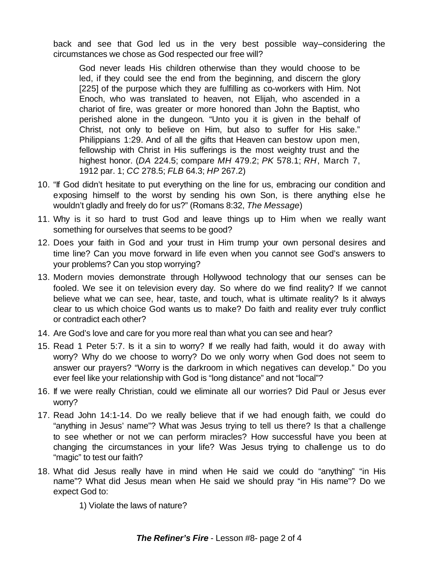back and see that God led us in the very best possible way–considering the circumstances we chose as God respected our free will?

God never leads His children otherwise than they would choose to be led, if they could see the end from the beginning, and discern the glory [225] of the purpose which they are fulfilling as co-workers with Him. Not Enoch, who was translated to heaven, not Elijah, who ascended in a chariot of fire, was greater or more honored than John the Baptist, who perished alone in the dungeon. "Unto you it is given in the behalf of Christ, not only to believe on Him, but also to suffer for His sake." Philippians 1:29. And of all the gifts that Heaven can bestow upon men, fellowship with Christ in His sufferings is the most weighty trust and the highest honor. (*DA* 224.5; compare *MH* 479.2; *PK* 578.1; *RH*, March 7, 1912 par. 1; *CC* 278.5; *FLB* 64.3; *HP* 267.2)

- 10. "If God didn't hesitate to put everything on the line for us, embracing our condition and exposing himself to the worst by sending his own Son, is there anything else he wouldn't gladly and freely do for us?" (Romans 8:32, *The Message*)
- 11. Why is it so hard to trust God and leave things up to Him when we really want something for ourselves that seems to be good?
- 12. Does your faith in God and your trust in Him trump your own personal desires and time line? Can you move forward in life even when you cannot see God's answers to your problems? Can you stop worrying?
- 13. Modern movies demonstrate through Hollywood technology that our senses can be fooled. We see it on television every day. So where do we find reality? If we cannot believe what we can see, hear, taste, and touch, what is ultimate reality? Is it always clear to us which choice God wants us to make? Do faith and reality ever truly conflict or contradict each other?
- 14. Are God's love and care for you more real than what you can see and hear?
- 15. Read 1 Peter 5:7. Is it a sin to worry? If we really had faith, would it do away with worry? Why do we choose to worry? Do we only worry when God does not seem to answer our prayers? "Worry is the darkroom in which negatives can develop." Do you ever feel like your relationship with God is "long distance" and not "local"?
- 16. If we were really Christian, could we eliminate all our worries? Did Paul or Jesus ever worry?
- 17. Read John 14:1-14. Do we really believe that if we had enough faith, we could do "anything in Jesus' name"? What was Jesus trying to tell us there? Is that a challenge to see whether or not we can perform miracles? How successful have you been at changing the circumstances in your life? Was Jesus trying to challenge us to do "magic" to test our faith?
- 18. What did Jesus really have in mind when He said we could do "anything" "in His name"? What did Jesus mean when He said we should pray "in His name"? Do we expect God to:
	- 1) Violate the laws of nature?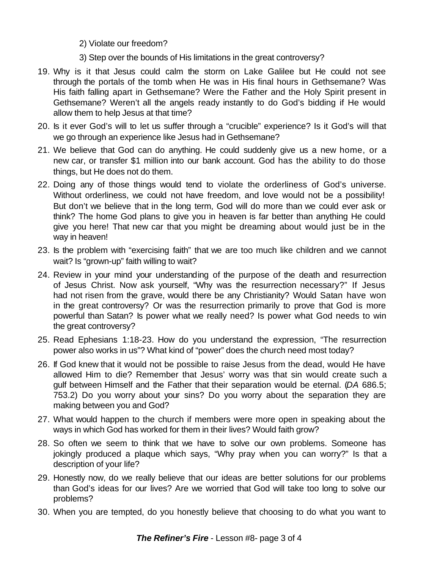2) Violate our freedom?

- 3) Step over the bounds of His limitations in the great controversy?
- 19. Why is it that Jesus could calm the storm on Lake Galilee but He could not see through the portals of the tomb when He was in His final hours in Gethsemane? Was His faith falling apart in Gethsemane? Were the Father and the Holy Spirit present in Gethsemane? Weren't all the angels ready instantly to do God's bidding if He would allow them to help Jesus at that time?
- 20. Is it ever God's will to let us suffer through a "crucible" experience? Is it God's will that we go through an experience like Jesus had in Gethsemane?
- 21. We believe that God can do anything. He could suddenly give us a new home, or a new car, or transfer \$1 million into our bank account. God has the ability to do those things, but He does not do them.
- 22. Doing any of those things would tend to violate the orderliness of God's universe. Without orderliness, we could not have freedom, and love would not be a possibility! But don't we believe that in the long term, God will do more than we could ever ask or think? The home God plans to give you in heaven is far better than anything He could give you here! That new car that you might be dreaming about would just be in the way in heaven!
- 23. Is the problem with "exercising faith" that we are too much like children and we cannot wait? Is "grown-up" faith willing to wait?
- 24. Review in your mind your understanding of the purpose of the death and resurrection of Jesus Christ. Now ask yourself, "Why was the resurrection necessary?" If Jesus had not risen from the grave, would there be any Christianity? Would Satan have won in the great controversy? Or was the resurrection primarily to prove that God is more powerful than Satan? Is power what we really need? Is power what God needs to win the great controversy?
- 25. Read Ephesians 1:18-23. How do you understand the expression, "The resurrection power also works in us"? What kind of "power" does the church need most today?
- 26. If God knew that it would not be possible to raise Jesus from the dead, would He have allowed Him to die? Remember that Jesus' worry was that sin would create such a gulf between Himself and the Father that their separation would be eternal. (*DA* 686.5; 753.2) Do you worry about your sins? Do you worry about the separation they are making between you and God?
- 27. What would happen to the church if members were more open in speaking about the ways in which God has worked for them in their lives? Would faith grow?
- 28. So often we seem to think that we have to solve our own problems. Someone has jokingly produced a plaque which says, "Why pray when you can worry?" Is that a description of your life?
- 29. Honestly now, do we really believe that our ideas are better solutions for our problems than God's ideas for our lives? Are we worried that God will take too long to solve our problems?
- 30. When you are tempted, do you honestly believe that choosing to do what you want to